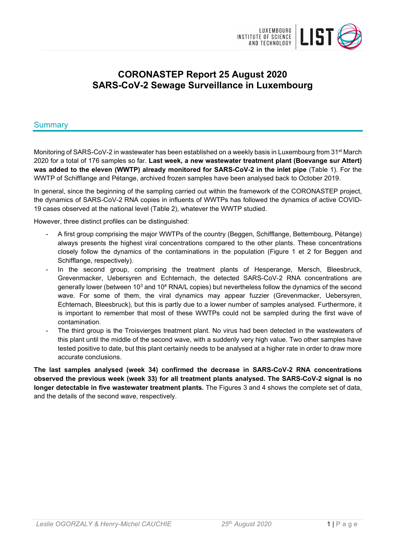

# **CORONASTEP Report 25 August 2020 SARS-CoV-2 Sewage Surveillance in Luxembourg**

### Summary

Monitoring of SARS-CoV-2 in wastewater has been established on a weekly basis in Luxembourg from 31<sup>st</sup> March 2020 for a total of 176 samples so far. **Last week, a new wastewater treatment plant (Boevange sur Attert) was added to the eleven (WWTP) already monitored for SARS-CoV-2 in the inlet pipe** (Table 1). For the WWTP of Schifflange and Pétange, archived frozen samples have been analysed back to October 2019.

In general, since the beginning of the sampling carried out within the framework of the CORONASTEP project, the dynamics of SARS-CoV-2 RNA copies in influents of WWTPs has followed the dynamics of active COVID-19 cases observed at the national level (Table 2), whatever the WWTP studied.

However, three distinct profiles can be distinguished:

- A first group comprising the major WWTPs of the country (Beggen, Schifflange, Bettembourg, Pétange) always presents the highest viral concentrations compared to the other plants. These concentrations closely follow the dynamics of the contaminations in the population (Figure 1 et 2 for Beggen and Schifflange, respectively).
- In the second group, comprising the treatment plants of Hesperange, Mersch, Bleesbruck, Grevenmacker, Uebersyren and Echternach, the detected SARS-CoV-2 RNA concentrations are generally lower (between 10<sup>3</sup> and 10<sup>4</sup> RNA/L copies) but nevertheless follow the dynamics of the second wave. For some of them, the viral dynamics may appear fuzzier (Grevenmacker, Uebersyren, Echternach, Bleesbruck), but this is partly due to a lower number of samples analysed. Furthermore, it is important to remember that most of these WWTPs could not be sampled during the first wave of contamination.
- The third group is the Troisvierges treatment plant. No virus had been detected in the wastewaters of this plant until the middle of the second wave, with a suddenly very high value. Two other samples have tested positive to date, but this plant certainly needs to be analysed at a higher rate in order to draw more accurate conclusions.

**The last samples analysed (week 34) confirmed the decrease in SARS-CoV-2 RNA concentrations observed the previous week (week 33) for all treatment plants analysed. The SARS-CoV-2 signal is no longer detectable in five wastewater treatment plants.** The Figures 3 and 4 shows the complete set of data, and the details of the second wave, respectively.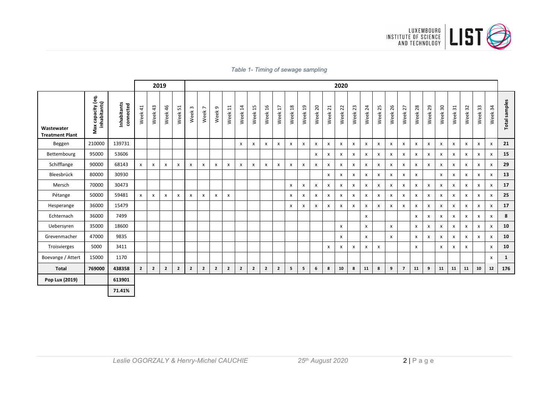

|  |  |  |  |  | Table 1- Timing of sewage sampling |
|--|--|--|--|--|------------------------------------|
|--|--|--|--|--|------------------------------------|

|                                      |                                   |                          |             |                |                |                |                      |                                     |                           |               |                           |                |                | 2020                    |                        |         |                           |                           |                    |                           |              |                           |                           |                           |         |                           |              |                           |         |         |                           |               |
|--------------------------------------|-----------------------------------|--------------------------|-------------|----------------|----------------|----------------|----------------------|-------------------------------------|---------------------------|---------------|---------------------------|----------------|----------------|-------------------------|------------------------|---------|---------------------------|---------------------------|--------------------|---------------------------|--------------|---------------------------|---------------------------|---------------------------|---------|---------------------------|--------------|---------------------------|---------|---------|---------------------------|---------------|
| Wastewater<br><b>Treatment Plant</b> | ġ<br>inhabitants)<br>Max capacity | Inhabitants<br>connected | Week41      | Week 43        | Week 46        | Week 51        | $\mathsf{m}$<br>Week | $\overline{ }$<br>Week <sup>-</sup> | G<br>Week                 | $\Xi$<br>Week | $\overline{1}$<br>Week    | 15<br>Week     | 16<br>Week     | $\overline{17}$<br>Week | $\frac{8}{18}$<br>Week | Week 19 | Week 20                   | Week 21                   | Week <sub>22</sub> | Week 23                   | Week 24      | Week <sub>25</sub>        | Week 26                   | Week 27                   | Week 28 | Week 29                   | Week 30      | Week 31                   | Week 32 | Week 33 | Week 34                   | Total samples |
| Beggen                               | 210000                            | 139731                   |             |                |                |                |                      |                                     |                           |               | $\boldsymbol{\mathsf{x}}$ | X              | X              | x                       | X                      | x       | $\boldsymbol{\mathsf{x}}$ | $\boldsymbol{\mathsf{x}}$ | X                  | $\boldsymbol{\mathsf{x}}$ | x            | x                         | $\boldsymbol{\mathsf{x}}$ | X                         | x       | x                         | X            | $\boldsymbol{\mathsf{x}}$ | X       | x       | $\boldsymbol{\mathsf{x}}$ | 21            |
| Bettembourg                          | 95000                             | 53606                    |             |                |                |                |                      |                                     |                           |               |                           |                |                |                         |                        |         | $\boldsymbol{\mathsf{x}}$ | x                         | X                  | $\boldsymbol{\mathsf{x}}$ | x            | $\boldsymbol{\mathsf{x}}$ | $\mathsf{x}$              | $\boldsymbol{\mathsf{x}}$ | x       | X                         | X            | X                         | X       | x       | $\mathsf{x}$              | 15            |
| Schifflange                          | 90000                             | 68143                    | <b>X</b>    | x              | X              | X              | x                    | X                                   | $\boldsymbol{\mathsf{x}}$ | x             | $\boldsymbol{\mathsf{x}}$ | x              | X              | x                       | x                      | x       | $\boldsymbol{\mathsf{x}}$ | X                         | X                  | $\boldsymbol{\mathsf{x}}$ | x            | $\mathsf{x}$              | $\mathsf{x}$              | x                         | x       | $\mathsf{x}$              | X            | X                         | x       | x       | $\boldsymbol{\mathsf{x}}$ | 29            |
| Bleesbrück                           | 80000                             | 30930                    |             |                |                |                |                      |                                     |                           |               |                           |                |                |                         |                        |         |                           | x                         | X                  | x                         | x            | X                         | X                         | x                         | x       |                           | x            | X                         | x       | х       | X                         | 13            |
| Mersch                               | 70000                             | 30473                    |             |                |                |                |                      |                                     |                           |               |                           |                |                |                         | X                      | x       | $\boldsymbol{\mathsf{x}}$ | x                         | X                  | $\boldsymbol{\mathsf{x}}$ | x            | x                         | $\boldsymbol{\mathsf{x}}$ | X                         | x       | x                         | X            | $\boldsymbol{\mathsf{x}}$ | x       | X       | X                         | 17            |
| Pétange                              | 50000                             | 59481                    | x           | x              | X              | X              | x                    | x                                   | $\boldsymbol{\mathsf{x}}$ | x             |                           |                |                |                         | X                      | x       | X                         | X                         | X                  | $\boldsymbol{\mathsf{x}}$ | X            | X                         | $\pmb{\mathsf{X}}$        | x                         | X       | X                         | x            | X                         | X       | X       | X                         | 25            |
| Hesperange                           | 36000                             | 15479                    |             |                |                |                |                      |                                     |                           |               |                           |                |                |                         | X                      | х       | $\mathsf{x}$              | $\pmb{\chi}$              | X                  | $\mathsf{x}$              | $\mathsf{x}$ | $\mathsf{x}$              | $\mathsf{x}$              | x                         | x       | $\boldsymbol{\mathsf{x}}$ | $\mathsf{x}$ | $\boldsymbol{\mathsf{x}}$ | x       | x       | $\mathsf{x}$              | 17            |
| Echternach                           | 36000                             | 7499                     |             |                |                |                |                      |                                     |                           |               |                           |                |                |                         |                        |         |                           |                           |                    |                           | x            |                           |                           |                           | x       | X                         | x            | X                         | x       | x       | X                         | 8             |
| Uebersyren                           | 35000                             | 18600                    |             |                |                |                |                      |                                     |                           |               |                           |                |                |                         |                        |         |                           |                           | $\pmb{\times}$     |                           | $\mathsf{x}$ |                           | $\mathsf{x}$              |                           | x       | x                         | x            | X                         | x       | x       | $\mathsf{x}$              | 10            |
| Grevenmacher                         | 47000                             | 9835                     |             |                |                |                |                      |                                     |                           |               |                           |                |                |                         |                        |         |                           |                           | x                  |                           | X            |                           | $\mathsf{x}$              |                           | x       | X                         | x            | X                         | x       | x       | X                         | 10            |
| Troisvierges                         | 5000                              | 3411                     |             |                |                |                |                      |                                     |                           |               |                           |                |                |                         |                        |         |                           | $\pmb{\mathsf{X}}$        | X                  | $\boldsymbol{\mathsf{x}}$ | $\mathsf{x}$ | X                         |                           |                           | x       |                           | x            | $\boldsymbol{\mathsf{x}}$ | x       |         | $\mathsf{x}$              | 10            |
| Boevange / Attert                    | 15000                             | 1170                     |             |                |                |                |                      |                                     |                           |               |                           |                |                |                         |                        |         |                           |                           |                    |                           |              |                           |                           |                           |         |                           |              |                           |         |         | $\mathsf{x}$              | $\mathbf{1}$  |
| <b>Total</b>                         | 769000                            | 438358                   | $2^{\circ}$ | $\overline{2}$ | $\overline{2}$ | $\overline{2}$ | $\overline{2}$       | $\mathbf{2}$                        | $\overline{2}$            | $\mathbf{2}$  | $\overline{2}$            | $\overline{2}$ | $\overline{2}$ | $\overline{2}$          | 5                      | 5       | 6                         | 8                         | 10                 | 8                         | 11           | 8                         | 9                         | $\overline{7}$            | 11      | 9                         | 11           | 11                        | 11      | 10      | 12                        | 176           |
| Pop Lux (2019)                       |                                   | 613901                   |             |                |                |                |                      |                                     |                           |               |                           |                |                |                         |                        |         |                           |                           |                    |                           |              |                           |                           |                           |         |                           |              |                           |         |         |                           |               |
|                                      |                                   | 71.41%                   |             |                |                |                |                      |                                     |                           |               |                           |                |                |                         |                        |         |                           |                           |                    |                           |              |                           |                           |                           |         |                           |              |                           |         |         |                           |               |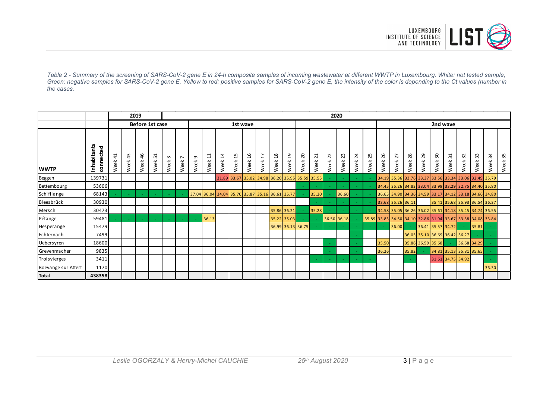

*Table 2 - Summary of the screening of SARS-CoV-2 gene E in 24-h composite samples of incoming wastewater at different WWTP in Luxembourg. White: not tested sample, Green: negative samples for SARS-CoV-2 gene E, Yellow to red: positive samples for SARS-CoV-2 gene E, the intensity of the color is depending to the Ct values (number in the cases.*

|                     |                          |                                     |            | 2019           |                                    |           | 2020                   |                  |                                                        |                                       |                                                 |                             |                                          |                        |                             |            |                                                    |                |                                |                     |                     |                                                             |                                  |                            |                                                       |                                  |                                            |            |                               |            |            |  |
|---------------------|--------------------------|-------------------------------------|------------|----------------|------------------------------------|-----------|------------------------|------------------|--------------------------------------------------------|---------------------------------------|-------------------------------------------------|-----------------------------|------------------------------------------|------------------------|-----------------------------|------------|----------------------------------------------------|----------------|--------------------------------|---------------------|---------------------|-------------------------------------------------------------|----------------------------------|----------------------------|-------------------------------------------------------|----------------------------------|--------------------------------------------|------------|-------------------------------|------------|------------|--|
|                     |                          |                                     |            |                | Before 1st case                    |           | 1st wave               |                  |                                                        |                                       |                                                 |                             |                                          |                        |                             |            |                                                    |                |                                |                     |                     |                                                             |                                  | 2nd wave                   |                                                       |                                  |                                            |            |                               |            |            |  |
| <b>WWTP</b>         | Inhabitants<br>connected | $\overline{\phantom{0}}$<br>Week 4: | 43<br>Week | G<br>4<br>Week | $\mathbf{\mathbf{t}}$<br>L<br>Week | ന<br>Week | $\overline{ }$<br>Week | $\sigma$<br>Week | $\mathrel{\dashv}$<br>$\overline{\phantom{0}}$<br>Week | 4<br>$\overline{\phantom{0}}$<br>Week | LN.<br>$\overline{\phantom{0}}$<br>Week         | 6<br>$\blacksquare$<br>Week | $\overline{ }$<br>$\blacksquare$<br>Week | $\frac{8}{18}$<br>Week | G<br>$\overline{ }$<br>Week | 20<br>Week | $\overline{\phantom{0}}$<br>$\overline{N}$<br>Week | 22<br>Week     | $\mathsf{m}$<br>$\sim$<br>Week | 4<br>$\sim$<br>Week | S<br>$\sim$<br>Week | G<br>$\sim$<br>Week                                         | $\overline{ }$<br>$\sim$<br>Week | $\infty$<br>$\sim$<br>Week | 29<br>Week                                            | $\overline{\phantom{0}}$<br>Week | $\overline{\phantom{0}}$<br>$\sim$<br>Week | 32<br>Week | 33<br>Week                    | 34<br>Week | 35<br>Week |  |
| <b>Beggen</b>       | 139731                   |                                     |            |                |                                    |           |                        |                  |                                                        |                                       | 31.89 33.67 35.02 34.98 36.20 35.95 35.59 35.55 |                             |                                          |                        |                             |            |                                                    |                | $\sim$                         |                     |                     |                                                             |                                  |                            | 34.19 35.36 33.76 33.37 33.56 33.34 33.06 32.49 35.79 |                                  |                                            |            |                               |            |            |  |
| Bettembourg         | 53606                    |                                     |            |                |                                    |           |                        |                  |                                                        |                                       |                                                 |                             |                                          |                        |                             |            |                                                    |                |                                |                     |                     |                                                             |                                  |                            | 34.45 35.26 34.83 33.04 33.99 33.29 32.75 34.40 35.80 |                                  |                                            |            |                               |            |            |  |
| Schifflange         | 68143                    |                                     |            |                |                                    |           |                        |                  | 37.04 36.04 34.04 35.70 35.87 35.16 36.61 35.77        |                                       |                                                 |                             |                                          |                        |                             |            | 35.20                                              |                | 36.60                          |                     |                     |                                                             |                                  |                            | 36.65 34.90 34.36 34.59 33.17 34.12 33.18 34.66 34.80 |                                  |                                            |            |                               |            |            |  |
| Bleesbrück          | 30930                    |                                     |            |                |                                    |           |                        |                  |                                                        |                                       |                                                 |                             |                                          |                        |                             |            |                                                    |                | $\sim$                         |                     |                     | 33.68 35.26 36.11                                           |                                  |                            |                                                       |                                  |                                            |            | 35.41 35.68 35.93 36.54 36.37 |            |            |  |
| Mersch              | 30473                    |                                     |            |                |                                    |           |                        |                  |                                                        |                                       |                                                 |                             |                                          |                        | 35.86 36.21                 |            | 35.28                                              |                | $\sim$                         | ÷.                  |                     |                                                             |                                  |                            | 34.58 35.05 36.26 36.02 35.61 34.18 35.45 34.74 36.55 |                                  |                                            |            |                               |            |            |  |
| Pétange             | 59481                    |                                     | - 40       |                |                                    |           |                        |                  | 36.13                                                  |                                       |                                                 |                             |                                          |                        | 35.22 35.03                 |            |                                                    |                | 36.50 36.18                    |                     |                     | 35.89 33.83 34.50 34.10 32.86 31.94 33.67 33.38 34.08 33.84 |                                  |                            |                                                       |                                  |                                            |            |                               |            |            |  |
| Hesperange          | 15479                    |                                     |            |                |                                    |           |                        |                  |                                                        |                                       |                                                 |                             |                                          |                        | 36.99 36.13 36.75           |            |                                                    | <b>Section</b> |                                |                     |                     |                                                             | 36.00                            |                            | 36.41 35.57 34.72                                     |                                  |                                            |            | 35.81                         |            |            |  |
| Echternach          | 7499                     |                                     |            |                |                                    |           |                        |                  |                                                        |                                       |                                                 |                             |                                          |                        |                             |            |                                                    |                |                                |                     |                     |                                                             |                                  |                            | 36.05 35.10 36.69 36.42 36.27                         |                                  |                                            |            |                               |            |            |  |
| Uebersyren          | 18600                    |                                     |            |                |                                    |           |                        |                  |                                                        |                                       |                                                 |                             |                                          |                        |                             |            |                                                    |                |                                |                     |                     | 35.50                                                       |                                  |                            | 35.86 36.59 35.68                                     |                                  | $\sim$                                     |            | 36.68 34.29                   |            |            |  |
| Grevenmacher        | 9835                     |                                     |            |                |                                    |           |                        |                  |                                                        |                                       |                                                 |                             |                                          |                        |                             |            |                                                    | $\sim$         |                                |                     |                     | 36.26                                                       |                                  | 35.82                      |                                                       |                                  |                                            |            | 34.81 35.13 35.81 35.65       |            |            |  |
| Troisvierges        | 3411                     |                                     |            |                |                                    |           |                        |                  |                                                        |                                       |                                                 |                             |                                          |                        |                             |            |                                                    | <b>Section</b> | $\sim$                         | ÷.                  |                     |                                                             |                                  |                            |                                                       |                                  | 31.61 34.75 34.92                          |            |                               |            |            |  |
| Boevange sur Attert | 1170                     |                                     |            |                |                                    |           |                        |                  |                                                        |                                       |                                                 |                             |                                          |                        |                             |            |                                                    |                |                                |                     |                     |                                                             |                                  |                            |                                                       |                                  |                                            |            |                               | 36.30      |            |  |
| <b>Total</b>        | 438358                   |                                     |            |                |                                    |           |                        |                  |                                                        |                                       |                                                 |                             |                                          |                        |                             |            |                                                    |                |                                |                     |                     |                                                             |                                  |                            |                                                       |                                  |                                            |            |                               |            |            |  |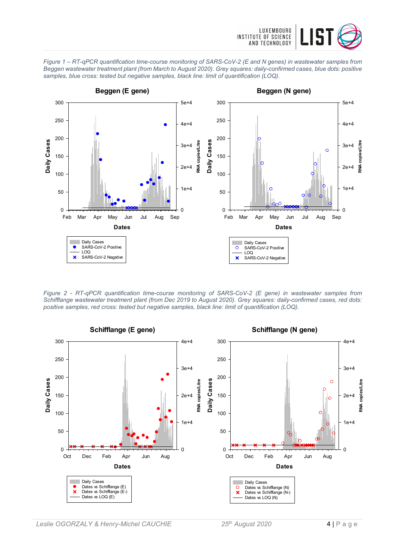





*Figure 2 - RT-qPCR quantification time-course monitoring of SARS-CoV-2 (E gene) in wastewater samples from Schifflange wastewater treatment plant (from Dec 2019 to August 2020). Grey squares: daily-confirmed cases, red dots: positive samples, red cross: tested but negative samples, black line: limit of quantification (LOQ).*

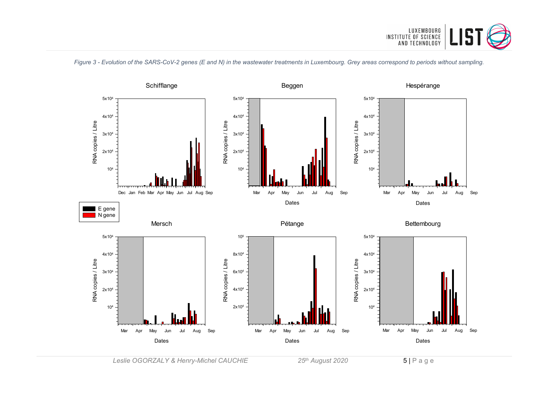

*Figure 3 - Evolution of the SARS-CoV-2 genes (E and N) in the wastewater treatments in Luxembourg. Grey areas correspond to periods without sampling.*

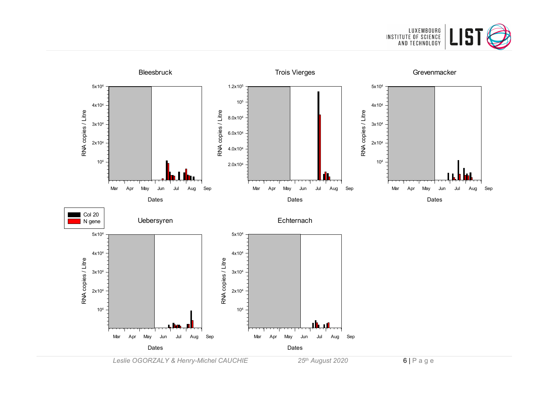



*Leslie OGORZALY & Henry-Michel CAUCHIE 25th August 2020* 6 | Page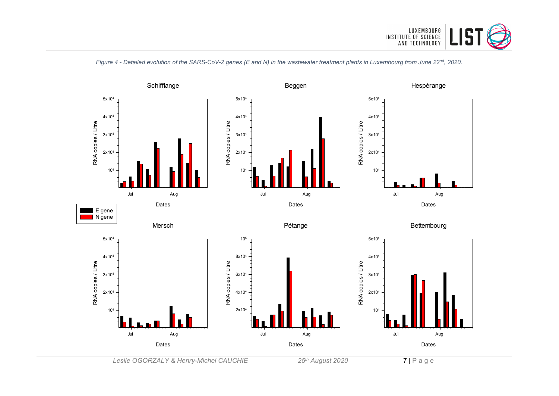



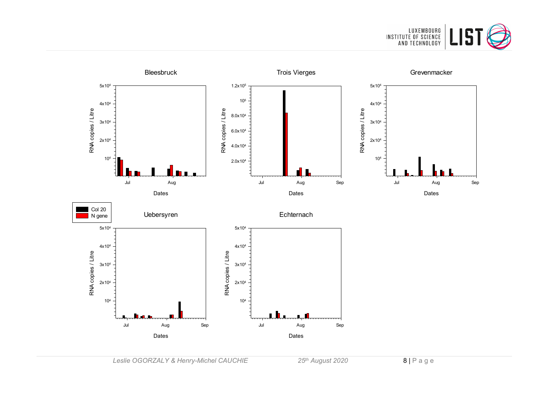

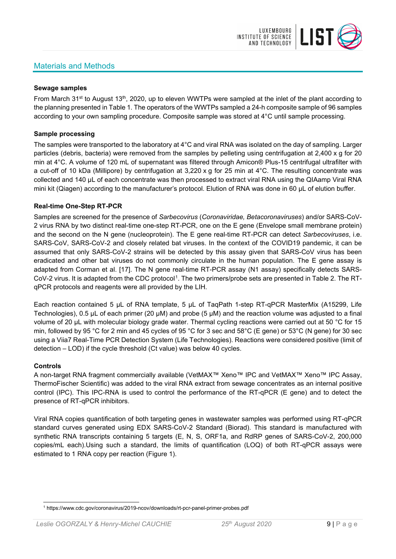## Materials and Methods



#### **Sewage samples**

From March 31<sup>st</sup> to August 13<sup>th</sup>, 2020, up to eleven WWTPs were sampled at the inlet of the plant according to the planning presented in Table 1. The operators of the WWTPs sampled a 24-h composite sample of 96 samples according to your own sampling procedure. Composite sample was stored at 4°C until sample processing.

#### **Sample processing**

The samples were transported to the laboratory at 4°C and viral RNA was isolated on the day of sampling. Larger particles (debris, bacteria) were removed from the samples by pelleting using centrifugation at 2,400 x g for 20 min at 4°C. A volume of 120 mL of supernatant was filtered through Amicon® Plus-15 centrifugal ultrafilter with a cut-off of 10 kDa (Millipore) by centrifugation at 3,220 x g for 25 min at 4°C. The resulting concentrate was collected and 140 µL of each concentrate was then processed to extract viral RNA using the QIAamp Viral RNA mini kit (Qiagen) according to the manufacturer's protocol. Elution of RNA was done in 60 μL of elution buffer.

#### **Real-time One-Step RT-PCR**

Samples are screened for the presence of *Sarbecovirus* (*Coronaviridae, Betacoronaviruses*) and/or SARS-CoV-2 virus RNA by two distinct real-time one-step RT-PCR, one on the E gene (Envelope small membrane protein) and the second on the N gene (nucleoprotein). The E gene real-time RT-PCR can detect *Sarbecoviruses*, i.e. SARS-CoV, SARS-CoV-2 and closely related bat viruses. In the context of the COVID19 pandemic, it can be assumed that only SARS-CoV-2 strains will be detected by this assay given that SARS-CoV virus has been eradicated and other bat viruses do not commonly circulate in the human population. The E gene assay is adapted from Corman et al. [17]. The N gene real-time RT-PCR assay (N1 assay) specifically detects SARS-CoV-2 virus. It is adapted from the CDC protocol[1](#page-8-0). The two primers/probe sets are presented in Table 2. The RTqPCR protocols and reagents were all provided by the LIH.

Each reaction contained 5 μL of RNA template, 5 μL of TaqPath 1-step RT-qPCR MasterMix (A15299, Life Technologies), 0.5 µL of each primer (20 µM) and probe (5 µM) and the reaction volume was adjusted to a final volume of 20 μL with molecular biology grade water. Thermal cycling reactions were carried out at 50 °C for 15 min, followed by 95 °C for 2 min and 45 cycles of 95 °C for 3 sec and 58°C (E gene) or 53°C (N gene) for 30 sec using a Viia7 Real-Time PCR Detection System (Life Technologies). Reactions were considered positive (limit of detection – LOD) if the cycle threshold (Ct value) was below 40 cycles.

#### **Controls**

A non-target RNA fragment commercially available (VetMAX™ Xeno™ IPC and VetMAX™ Xeno™ IPC Assay, ThermoFischer Scientific) was added to the viral RNA extract from sewage concentrates as an internal positive control (IPC). This IPC-RNA is used to control the performance of the RT-qPCR (E gene) and to detect the presence of RT-qPCR inhibitors.

Viral RNA copies quantification of both targeting genes in wastewater samples was performed using RT-qPCR standard curves generated using EDX SARS-CoV-2 Standard (Biorad). This standard is manufactured with synthetic RNA transcripts containing 5 targets (E, N, S, ORF1a, and RdRP genes of SARS-CoV-2, 200,000 copies/mL each).Using such a standard, the limits of quantification (LOQ) of both RT-qPCR assays were estimated to 1 RNA copy per reaction (Figure 1).

<span id="page-8-0"></span><sup>1</sup> https://www.cdc.gov/coronavirus/2019-ncov/downloads/rt-pcr-panel-primer-probes.pdf